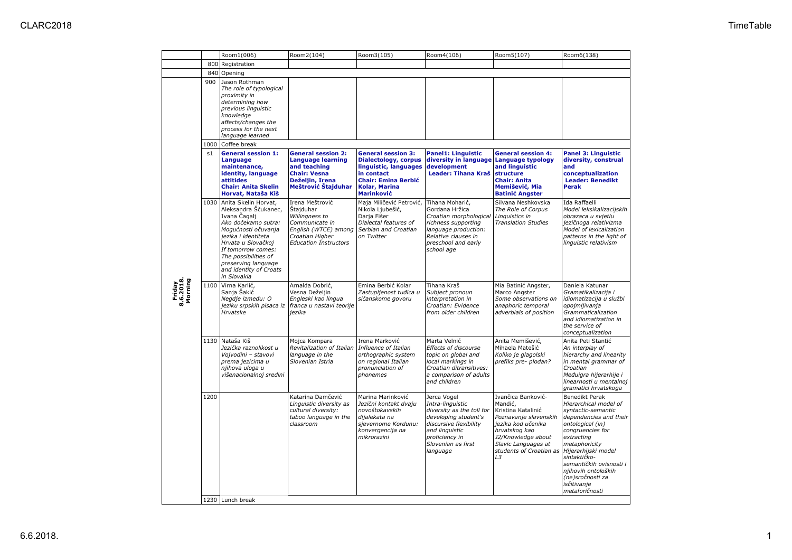|                                |      | Room1(006)                                                                                                                                                                                                                                                            | Room2(104)                                                                                                                                  | Room3(105)                                                                                                                                                                 | Room4(106)                                                                                                                                                                           | Room5(107)                                                                                                                                                                                        | Room6(138)                                                                                                                                                                                                                                                                                                   |
|--------------------------------|------|-----------------------------------------------------------------------------------------------------------------------------------------------------------------------------------------------------------------------------------------------------------------------|---------------------------------------------------------------------------------------------------------------------------------------------|----------------------------------------------------------------------------------------------------------------------------------------------------------------------------|--------------------------------------------------------------------------------------------------------------------------------------------------------------------------------------|---------------------------------------------------------------------------------------------------------------------------------------------------------------------------------------------------|--------------------------------------------------------------------------------------------------------------------------------------------------------------------------------------------------------------------------------------------------------------------------------------------------------------|
|                                |      | 800 Registration                                                                                                                                                                                                                                                      |                                                                                                                                             |                                                                                                                                                                            |                                                                                                                                                                                      |                                                                                                                                                                                                   |                                                                                                                                                                                                                                                                                                              |
|                                |      | 840 Opening                                                                                                                                                                                                                                                           |                                                                                                                                             |                                                                                                                                                                            |                                                                                                                                                                                      |                                                                                                                                                                                                   |                                                                                                                                                                                                                                                                                                              |
| Friday<br>8.6.2018.<br>Morning | 900  | Jason Rothman<br>The role of typological<br>proximity in<br>determining how<br>previous linguistic<br>knowledge<br>affects/changes the<br>process for the next<br>language learned                                                                                    |                                                                                                                                             |                                                                                                                                                                            |                                                                                                                                                                                      |                                                                                                                                                                                                   |                                                                                                                                                                                                                                                                                                              |
|                                | 1000 | Coffee break                                                                                                                                                                                                                                                          |                                                                                                                                             |                                                                                                                                                                            |                                                                                                                                                                                      |                                                                                                                                                                                                   |                                                                                                                                                                                                                                                                                                              |
|                                | s1   | <b>General session 1:</b><br>Language<br>maintenance,<br>identity, language<br><b>attitides</b><br><b>Chair: Anita Skelin</b><br>Horvat, Nataša Kiš                                                                                                                   | <b>General session 2:</b><br><b>Language learning</b><br>and teaching<br><b>Chair: Vesna</b><br>Deželjin, Irena<br>Meštrović Stajduhar      | <b>General session 3:</b><br><b>Dialectology, corpus</b><br>linguistic, languages<br>in contact<br><b>Chair: Emina Berbić</b><br><b>Kolar, Marina</b><br><b>Marinković</b> | <b>Panel1: Linguistic</b><br>diversity in language<br>development<br>Leader: Tihana Kraš                                                                                             | <b>General session 4:</b><br><b>Language typology</b><br>and linguistic<br><b>structure</b><br><b>Chair: Anita</b><br>Memišević, Mia<br><b>Batinić Angster</b>                                    | <b>Panel 3: Linguistic</b><br>diversity, construal<br>and<br>conceptualization<br><b>Leader: Benedikt</b><br><b>Perak</b>                                                                                                                                                                                    |
|                                | 1030 | Anita Skelin Horvat,<br>Aleksandra Ščukanec,<br>Ivana Cagalj<br>Ako dočekamo sutra:<br>Mogućnosti očuvanja<br>jezika i identiteta<br>Hrvata u Slovačkoj<br>If tomorrow comes:<br>The possibilities of<br>preserving language<br>and identity of Croats<br>in Slovakia | Irena Meštrović<br>Štajduhar<br>Willingness to<br>Communicate in<br>English (WTCE) among<br>Croatian Higher<br><b>Education Instructors</b> | Maja Miličević Petrović,<br>Nikola Ljubešić,<br>Darja Fišer<br>Dialectal features of<br>Serbian and Croatian<br>on Twitter                                                 | Tihana Moharić,<br>Gordana Hržica<br>Croatian morphological<br>richness supporting<br>language production:<br>Relative clauses in<br>preschool and early<br>school age               | Silvana Neshkovska<br>The Role of Corpus<br>Linguistics in<br><b>Translation Studies</b>                                                                                                          | Ida Raffaelli<br>Model leksikalizacijskih<br>obrazaca u svjetlu<br>jezičnoga relativizma<br>Model of lexicalization<br>patterns in the light of<br>linguistic relativism                                                                                                                                     |
|                                | 1100 | Virna Karlić,<br>Sanja Šakić<br>Negdje između: O<br>jeziku srpskih pisaca iz<br>Hrvatske                                                                                                                                                                              | Arnalda Dobrić,<br>Vesna Deželjin<br>Engleski kao lingua<br>franca u nastavi teorije<br>jezika                                              | Emina Berbić Kolar<br>Zastupljenost tuđica u<br>sičanskome govoru                                                                                                          | Tihana Kraš<br>Subject pronoun<br>interpretation in<br>Croatian: Evidence<br>from older children                                                                                     | Mia Batinić Angster,<br>Marco Angster<br>Some observations on<br>anaphoric temporal<br>adverbials of position                                                                                     | Daniela Katunar<br>Gramatikalizacija i<br>idiomatizacija u službi<br>opojmljivanja<br>Grammaticalization<br>and idiomatization in<br>the service of<br>conceptualization                                                                                                                                     |
|                                |      | 1130 Nataša Kiš<br>Jezička raznolikost u<br>Vojvodini - stavovi<br>prema jezicima u<br>njihova uloga u<br>višenacionalnoj sredini                                                                                                                                     | Mojca Kompara<br>Revitalization of Italian<br>language in the<br>Slovenian Istria                                                           | Irena Marković<br>Influence of Italian<br>orthographic system<br>on regional Italian<br>pronunciation of<br>phonemes                                                       | Marta Velnić<br>Effects of discourse<br>topic on global and<br>local markings in<br>Croatian ditransitives:<br>a comparison of adults<br>and children                                | Anita Memišević,<br>Mihaela Matešić<br>Koliko je glagolski<br>prefiks pre- plodan?                                                                                                                | Anita Peti Stantić<br>An interplay of<br>hierarchy and linearity<br>in mental grammar of<br>Croatian<br>Međuigra hijerarhije i<br>linearnosti u mentalnoj<br>gramatici hrvatskoga                                                                                                                            |
|                                | 1200 |                                                                                                                                                                                                                                                                       | Katarina Damčević<br>Linguistic diversity as<br>cultural diversity:<br>taboo language in the<br>classroom                                   | Marina Marinković<br>Jezični kontakt dvaju<br>novoštokavskih<br>dijalekata na<br>sjevernome Kordunu:<br>konvergencija na<br>mikrorazini                                    | Jerca Vogel<br>Intra-linguistic<br>diversity as the toll for<br>developing student's<br>discursive flexibility<br>and linguistic<br>proficiency in<br>Slovenian as first<br>language | Ivančica Banković-<br>Mandić,<br>Kristina Katalinić<br>Poznavanje slavenskih<br>jezika kod učenika<br>hrvatskog kao<br>J2/Knowledge about<br>Slavic Languages at<br>students of Croatian as<br>L3 | Benedikt Perak<br>Hierarchical model of<br>syntactic-semantic<br>dependencies and their<br>ontological (in)<br>congruencies for<br>extracting<br>metaphoricity<br>Hijerarhijski model<br>sintaktičko-<br>semantičkih ovisnosti i<br>njihovih ontoloških<br>(ne)sročnosti za<br>isčitivanje<br>metaforičnosti |
|                                |      | 1230 Lunch break                                                                                                                                                                                                                                                      |                                                                                                                                             |                                                                                                                                                                            |                                                                                                                                                                                      |                                                                                                                                                                                                   |                                                                                                                                                                                                                                                                                                              |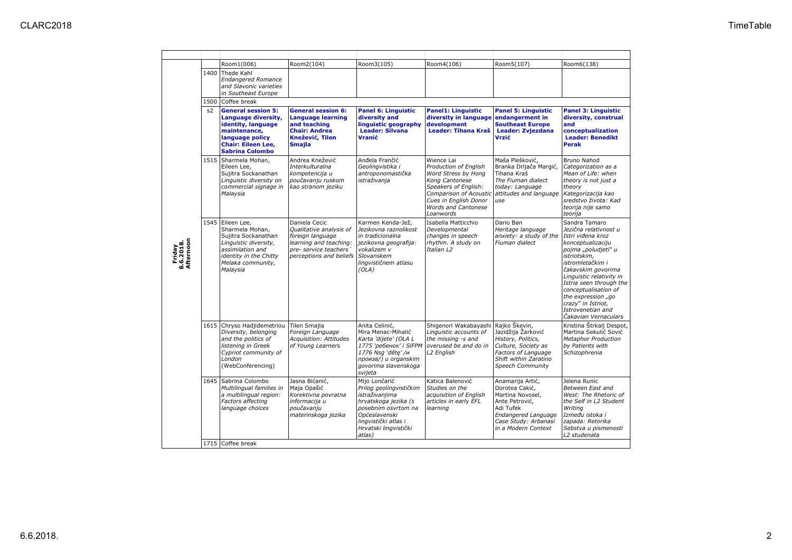|                                  |    | Room1(006)                                                                                                                                                         | Room2(104)                                                                                                                                  | Room3(105)                                                                                                                                                                                     | Room4(106)                                                                                                                                                               | Room5(107)                                                                                                                                                  | Room6(138)                                                                                                                                                                                                                                                                                                                                |
|----------------------------------|----|--------------------------------------------------------------------------------------------------------------------------------------------------------------------|---------------------------------------------------------------------------------------------------------------------------------------------|------------------------------------------------------------------------------------------------------------------------------------------------------------------------------------------------|--------------------------------------------------------------------------------------------------------------------------------------------------------------------------|-------------------------------------------------------------------------------------------------------------------------------------------------------------|-------------------------------------------------------------------------------------------------------------------------------------------------------------------------------------------------------------------------------------------------------------------------------------------------------------------------------------------|
|                                  |    | 1400 Thede Kahl<br><b>Endangered Romance</b><br>and Slavonic varieties<br>in Southeast Europe                                                                      |                                                                                                                                             |                                                                                                                                                                                                |                                                                                                                                                                          |                                                                                                                                                             |                                                                                                                                                                                                                                                                                                                                           |
|                                  |    | 1500 Coffee break                                                                                                                                                  |                                                                                                                                             |                                                                                                                                                                                                |                                                                                                                                                                          |                                                                                                                                                             |                                                                                                                                                                                                                                                                                                                                           |
|                                  | s2 | <b>General session 5:</b><br>Language diversity,<br>identity, language<br>maintenance,<br>language policy<br><b>Chair: Eileen Lee,</b><br><b>Sabrina Colombo</b>   | <b>General session 6:</b><br><b>Language learning</b><br>and teaching<br><b>Chair: Andrea</b><br>Knežević, Tilen<br><b>Smajla</b>           | <b>Panel 6: Linguistic</b><br>diversity and<br>linguistic geography<br><b>Leader: Silvana</b><br>Vranić                                                                                        | <b>Panel1: Linguistic</b><br>diversity in language endangerment in<br>development<br><b>Leader: Tihana Kraš</b>                                                          | <b>Panel 5: Linguistic</b><br><b>Southeast Europe</b><br>Leader: Zvjezdana<br>Vrzić                                                                         | <b>Panel 3: Linguistic</b><br>diversity, construal<br>and<br>conceptualization<br><b>Leader: Benedikt</b><br><b>Perak</b>                                                                                                                                                                                                                 |
|                                  |    | 1515 Sharmela Mohan,<br>Eileen Lee,<br>Sujitra Sockanathan<br>Linguistic diversity on<br>commercial signage in<br>Malaysia                                         | Andrea Knežević<br>Interkulturalna<br>kompetencija u<br>poučavanju ruskom<br>kao stranom jeziku                                             | Anđela Frančić<br>Geolingvistika i<br>antroponomastička<br>istraživanja                                                                                                                        | Wience Lai<br>Production of English<br>Word Stress by Hong<br>Kong Cantonese<br>Speakers of English:<br>Cues in English Donor<br><b>Words and Cantonese</b><br>Loanwords | Maša Plešković,<br>Branka Drljača Margić,<br>Tihana Kraš<br>The Fiuman dialect<br>today: Language<br>Comparison of Acoustic attitudes and language<br>luse  | Bruno Nahod<br>Categorization as a<br>Mean of Life: when<br>theory is not just a<br>theory<br>Kategorizacija kao<br>sredstvo života: Kad<br>teorija nije samo<br>teorija                                                                                                                                                                  |
| Friday<br>8.6.2018.<br>Afternoon |    | 1545 Eileen Lee,<br>Sharmela Mohan,<br>Sujitra Sockanathan<br>Linguistic diversity,<br>assimilation and<br>identity in the Chitty<br>Melaka community,<br>Malaysia | Daniela Cecic<br>Qualitative analysis of<br>foreign language<br>learning and teaching:<br>pre- service teachers'<br>perceptions and beliefs | Karmen Kenda-Jež,<br>Jezikovna raznolikost<br>in tradicionalna<br>jezikovna geografija:<br>vokalizem v<br>Slovanskem<br>lingvističnem atlasu<br>(OLA)                                          | Isabella Matticchio<br>Developmental<br>changes in speech<br>rhythm. A study on<br>Italian L2                                                                            | Dario Ban<br>Heritage language<br>anxiety: a study of the<br>Fiuman dialect                                                                                 | Sandra Tamaro<br>Jezična relativnost u<br>Istri viđena kroz<br>konceptualizaciju<br>pojma "poludjeti" u<br>istriotskim,<br>istromletačkim i<br>čakavskim govorima<br>Linguistic relativity in<br>Istria seen through the<br>conceptualisation of<br>the expression "go<br>crazy" in Istriot,<br>Istrovenetian and<br>Čakavian Vernaculars |
|                                  |    | 1615 Chryso Hadjidemetriou<br>Diversity, belonging<br>and the politics of<br>listening in Greek<br>Cypriot community of<br>London<br>(WebConferencing)             | <b>Tilen Smaila</b><br>Foreign Language<br>Acquisition: Attitudes<br>of Young Learners                                                      | Anita Celinić,<br>Mira Menac-Mihalić<br>Karta 'dijete' (OLA L<br>1775 'ребенок' i SIFPM overused be and do in<br>1776 Nsg 'děte' /и<br>произв/) и organskim<br>govorima slavenskoga<br>svijeta | Shigenori Wakabayashi Rajko Škevin,<br>Linguistic accounts of<br>the missing -s and<br>L2 English                                                                        | Jazidžija Žarković<br>History, Politics,<br>Culture, Society as<br>Factors of Language<br>Shift within Zaratino<br>Speech Community                         | Kristina Štrkali Despot.<br>Martina Sekulić Sović<br><b>Metaphor Production</b><br>by Patients with<br>Schizophrenia                                                                                                                                                                                                                      |
|                                  |    | 1645 Sabrina Colombo<br>Multilingual families in<br>a multilingual region:<br>Factors affecting<br>language choices                                                | Jasna Bićanić,<br>Maja Opašić<br>Korektivna povratna<br>informacija u<br>poučavanju<br>materinskoga jezika                                  | Mijo Lončarić<br>Prilog geolingvističkim<br>istraživanjima<br>hrvatskoga jezika (s<br>posebnim osvrtom na<br>Općeslavenski<br>lingvistički atlas i<br>Hrvatski lingvistički<br>atlas)          | Katica Balenović<br>Studies on the<br>acquisition of English<br>articles in early EFL<br>learning                                                                        | Anamarija Artić,<br>Dorotea Cakić,<br>Martina Novosel,<br>Ante Petrović,<br>Adi Tufek<br>Endangered Language<br>Case Study: Arbanasi<br>in a Modern Context | Jelena Runic<br>Between East and<br>West: The Rhetoric of<br>the Self in L2 Student<br>Writing<br>Između istoka i<br>zapada: Retorika<br>Sebstva u pismenosti<br>L2 studenata                                                                                                                                                             |
|                                  |    | 1715 Coffee break                                                                                                                                                  |                                                                                                                                             |                                                                                                                                                                                                |                                                                                                                                                                          |                                                                                                                                                             |                                                                                                                                                                                                                                                                                                                                           |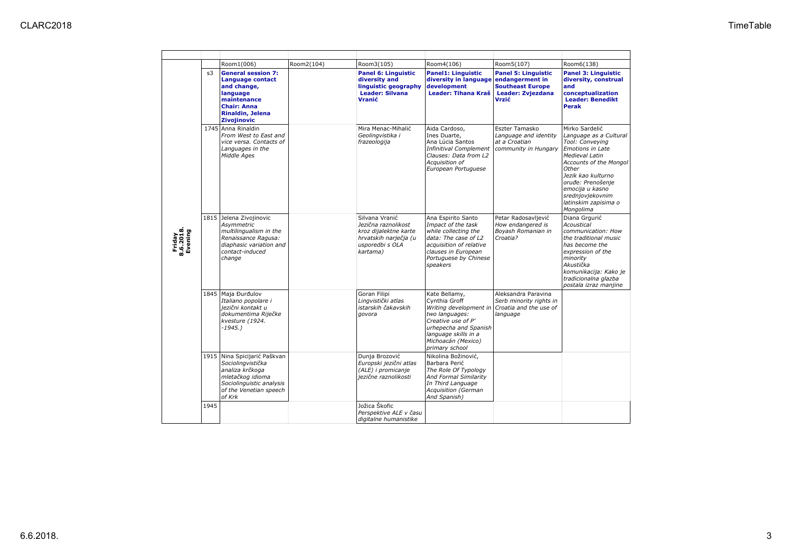|                                | s3   | <b>General session 7:</b><br><b>Language contact</b><br>and change,<br>language<br>maintenance<br><b>Chair: Anna</b><br>Rinaldin, Jelena                 | <b>Panel 6: Linguistic</b><br>diversity and<br>linguistic geography<br><b>Leader: Silvana</b><br>Vranić                | <b>Panel1: Linguistic</b><br>diversity in language endangerment in<br>development<br><b>Leader: Tihana Kraš</b>                                                                                                  | <b>Panel 5: Linguistic</b><br><b>Southeast Europe</b><br><b>Leader: Zvjezdana</b><br>Vrzić | <b>Panel 3: Linguistic</b><br>diversity, construal<br>and<br>conceptualization<br><b>Leader: Benedikt</b><br><b>Perak</b>                                                                                                                                   |
|--------------------------------|------|----------------------------------------------------------------------------------------------------------------------------------------------------------|------------------------------------------------------------------------------------------------------------------------|------------------------------------------------------------------------------------------------------------------------------------------------------------------------------------------------------------------|--------------------------------------------------------------------------------------------|-------------------------------------------------------------------------------------------------------------------------------------------------------------------------------------------------------------------------------------------------------------|
| Friday<br>8.6.2018.<br>Evening |      | Zivojinovic<br>1745 Anna Rinaldin<br>From West to East and<br>vice versa. Contacts of<br>Languages in the<br>Middle Ages                                 | Mira Menac-Mihalić<br>Geolingvistika i<br>frazeologija                                                                 | Aida Cardoso,<br>Ines Duarte,<br>Ana Lúcia Santos<br>Infinitival Complement   community in Hungary<br>Clauses: Data from L2<br>Acquisition of<br>European Portuguese                                             | Eszter Tamasko<br>Language and identity<br>at a Croatian                                   | Mirko Sardelić<br>Language as a Cultural<br>Tool: Conveying<br>Emotions in Late<br>Medieval Latin<br>Accounts of the Mongol<br>Other<br>Jezik kao kulturno<br>oruđe: Prenošenje<br>emocija u kasno<br>srednjovjekovnim<br>latinskim zapisima o<br>Mongolima |
|                                |      | 1815 Jelena Zivojinovic<br>Asymmetric<br>multilingualism in the<br>Renaissance Ragusa:<br>diaphasic variation and<br>contact-induced<br>change           | Silvana Vranić<br>Jezična raznolikost<br>kroz dijalektne karte<br>hrvatskih narječja (u<br>usporedbi s OLA<br>kartama) | Ana Espirito Santo<br>Impact of the task<br>while collecting the<br>data: The case of L2<br>acquisition of relative<br>clauses in European<br>Portuguese by Chinese<br>speakers                                  | Petar Radosavljević<br>How endangered is<br>Boyash Romanian in<br>Croatia?                 | Diana Grgurić<br>Acoustical<br>communication: How<br>the traditional music<br>has become the<br>expression of the<br>minority<br>Akustička<br>komunikacija: Kako je<br>tradicionalna glazba<br>postala izraz manjine                                        |
|                                |      | 1845 Maja Đurđulov<br>Italiano popolare i<br>jezični kontakt u<br>dokumentima Riječke<br>kvesture (1924.<br>$-1945.$ )                                   | Goran Filipi<br>Lingvistički atlas<br>istarskih čakavskih<br>govora                                                    | Kate Bellamy,<br>Cynthia Groff<br>Writing development in Croatia and the use of<br>two languages:<br>Creative use of P'<br>urhepecha and Spanish<br>language skills in a<br>Michoacán (Mexico)<br>primary school | Aleksandra Paravina<br>Serb minority rights in<br>language                                 |                                                                                                                                                                                                                                                             |
|                                |      | 1915 Nina Spicijarić Paškvan<br>Sociolingvistička<br>analiza krčkoga<br>mletačkog idioma<br>Sociolinguistic analysis<br>of the Venetian speech<br>of Krk | Dunja Brozović<br>Europski jezični atlas<br>(ALE) i promicanje<br>jezične raznolikosti                                 | Nikolina Božinović,<br>Barbara Perić<br>The Role Of Typology<br>And Formal Similarity<br>In Third Language<br><b>Acquisition (German</b><br>And Spanish)                                                         |                                                                                            |                                                                                                                                                                                                                                                             |
|                                | 1945 |                                                                                                                                                          | Jožica Škofic<br>Perspektive ALE v času<br>digitalne humanistike                                                       |                                                                                                                                                                                                                  |                                                                                            |                                                                                                                                                                                                                                                             |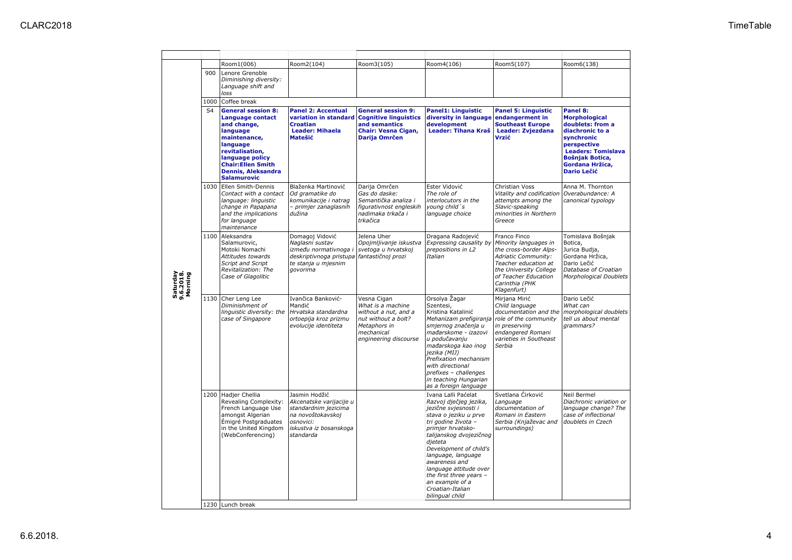| Saturday<br>9.6.2018.<br>Morning |                | Room1(006)                                                                                                                                                                                                         | Room2(104)                                                                                                                                | Room3(105)                                                                                                                             | Room4(106)                                                                                                                                                                                                                                                                                                                                                       | Room5(107)                                                                                                                                                                                               | Room6(138)                                                                                                                                                                                    |  |  |  |  |
|----------------------------------|----------------|--------------------------------------------------------------------------------------------------------------------------------------------------------------------------------------------------------------------|-------------------------------------------------------------------------------------------------------------------------------------------|----------------------------------------------------------------------------------------------------------------------------------------|------------------------------------------------------------------------------------------------------------------------------------------------------------------------------------------------------------------------------------------------------------------------------------------------------------------------------------------------------------------|----------------------------------------------------------------------------------------------------------------------------------------------------------------------------------------------------------|-----------------------------------------------------------------------------------------------------------------------------------------------------------------------------------------------|--|--|--|--|
|                                  | 900            | Lenore Grenoble<br>Diminishing diversity:<br>Language shift and<br>loss                                                                                                                                            |                                                                                                                                           |                                                                                                                                        |                                                                                                                                                                                                                                                                                                                                                                  |                                                                                                                                                                                                          |                                                                                                                                                                                               |  |  |  |  |
|                                  |                | 1000 Coffee break                                                                                                                                                                                                  |                                                                                                                                           |                                                                                                                                        |                                                                                                                                                                                                                                                                                                                                                                  |                                                                                                                                                                                                          |                                                                                                                                                                                               |  |  |  |  |
|                                  | S <sub>4</sub> | <b>General session 8:</b><br>Language contact<br>and change,<br>language<br>maintenance,<br>language<br>revitalisation,<br>language policy<br><b>Chair:Ellen Smith</b><br>Dennis, Aleksandra<br><b>Salamurovic</b> | <b>Panel 2: Accentual</b><br>variation in standard<br><b>Croatian</b><br><b>Leader: Mihaela</b><br>Matešić                                | <b>General session 9:</b><br><b>Cognitive linguistics</b><br>and semantics<br><b>Chair: Vesna Cigan,</b><br>Darija Omrčen              | <b>Panel1: Linguistic</b><br>diversity in language<br>development<br><b>Leader: Tihana Kraš</b>                                                                                                                                                                                                                                                                  | <b>Panel 5: Linguistic</b><br>endangerment in<br><b>Southeast Europe</b><br>Leader: Zvjezdana<br>Vrzić                                                                                                   | Panel 8:<br><b>Morphological</b><br>doublets: from a<br>diachronic to a<br>synchronic<br>perspective<br><b>Leaders: Tomislava</b><br>Bošnjak Botica,<br>Gordana Hržica,<br><b>Dario Lečić</b> |  |  |  |  |
|                                  |                | 1030 Ellen Smith-Dennis<br>Contact with a contact<br>language: linguistic<br>change in Papapana<br>and the implications<br>for language<br>maintenance                                                             | Blaženka Martinović<br>Od gramatike do<br>komunikacije i natrag<br>- primjer zanaglasnih<br>dužina                                        | Darija Omrčen<br>Gas do daske:<br>Semantička analiza i<br>figurativnost engleskih<br>nadimaka trkača i<br>trkačica                     | Ester Vidović<br>The role of<br>interlocutors in the<br>young child's<br>language choice                                                                                                                                                                                                                                                                         | Christian Voss<br>Vitality and codification<br>attempts among the<br>Slavic-speaking<br>minorities in Northern<br>Greece                                                                                 | Anna M. Thornton<br>Overabundance: A<br>canonical typology                                                                                                                                    |  |  |  |  |
|                                  |                | 1100 Aleksandra<br>Salamurovic,<br>Motoki Nomachi<br>Attitudes towards<br>Script and Script<br>Revitalization: The<br>Case of Glagolitic                                                                           | Domagoj Vidović<br>Naglasni sustav<br>između normativnoga i<br>deskriptivnoga pristupa<br>te stanja u mjesnim<br>qovorima                 | Jelena Uher<br>Opojmljivanje iskustva<br>svetoga u hrvatskoj<br>fantastičnoj prozi                                                     | Dragana Radojević<br>Expressing causality by<br>prepositions in L2<br>Italian                                                                                                                                                                                                                                                                                    | Franco Finco<br>Minority languages in<br>the cross-border Alps-<br><b>Adriatic Community:</b><br>Teacher education at<br>the University College<br>of Teacher Education<br>Carinthia (PHK<br>Klagenfurt) | Tomislava Bošnjak<br>Botica,<br>Jurica Budja,<br>Gordana Hržica,<br>Dario Lečić<br>Database of Croatian<br>Morphological Doublets                                                             |  |  |  |  |
|                                  |                | 1130 Cher Leng Lee<br>Diminishment of<br>linguistic diversity: the<br>case of Singapore                                                                                                                            | Ivančica Banković-<br>Mandić<br>Hrvatska standardna<br>ortoepija kroz prizmu<br>evolucije identiteta                                      | Vesna Cigan<br>What is a machine<br>without a nut, and a<br>nut without a bolt?<br>Metaphors in<br>mechanical<br>engineering discourse | Orsolya Žagar<br>Szentesi,<br>Kristina Katalinić<br>Mehanizam prefigiranja<br>smjernog značenja u<br>mađarskome - izazovi<br>u podučavanju<br>mađarskoga kao inog<br>jezika (MIJ)<br>Prefixation mechanism<br>with directional<br>prefixes - challenges<br>in teaching Hungarian<br>as a foreign language                                                        | Mirjana Mirić<br>Child language<br>documentation and the<br>role of the community<br>in preserving<br>endangered Romani<br>varieties in Southeast<br>Serbia                                              | Dario Lečić<br>What can<br>morphological doublets<br>tell us about mental<br>grammars?                                                                                                        |  |  |  |  |
|                                  |                | 1200 Hadjer Chellia<br>Revealing Complexity:<br>French Language Use<br>amongst Algerian<br>Émigré Postgraduates<br>in the United Kingdom<br>(WebConferencing)                                                      | Jasmin Hodžić<br>Akcenatske varijacije u<br>standardnim jezicima<br>na novoštokavskoj<br>osnovici:<br>iskustva iz bosanskoga<br>standarda |                                                                                                                                        | Ivana Lalli Paćelat<br>Razvoj dječjeg jezika,<br>jezične svjesnosti i<br>stava o jeziku u prve<br>tri godine života -<br>primjer hrvatsko-<br>talijanskog dvojezičnog<br>dieteta<br>Development of child's<br>language, language<br>awareness and<br>language attitude over<br>the first three years -<br>an example of a<br>Croatian-Italian<br>bilingual child | Svetlana Ćirković<br>Language<br>documentation of<br>Romani in Eastern<br>Serbia (Knjaževac and<br>surroundings)                                                                                         | Neil Bermel<br>Diachronic variation or<br>language change? The<br>case of inflectional<br>doublets in Czech                                                                                   |  |  |  |  |
|                                  |                | 1230 Lunch break                                                                                                                                                                                                   |                                                                                                                                           |                                                                                                                                        |                                                                                                                                                                                                                                                                                                                                                                  |                                                                                                                                                                                                          |                                                                                                                                                                                               |  |  |  |  |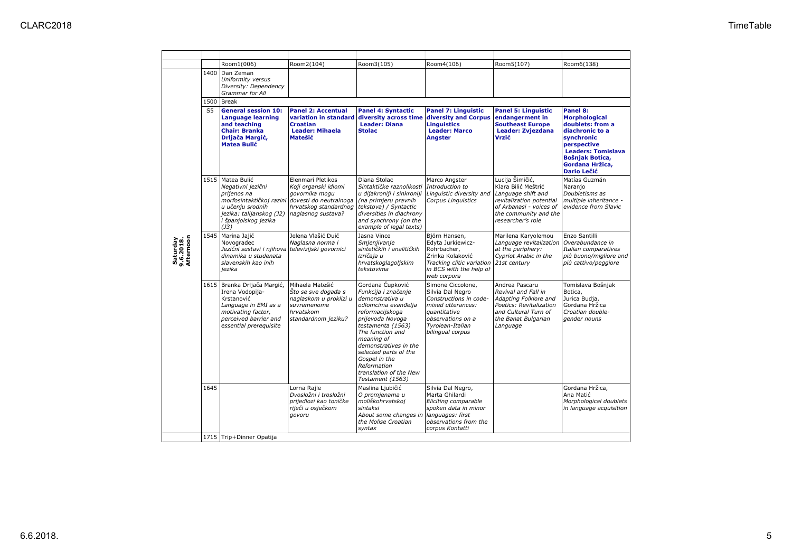|                                    |                | Room1(006)                                                                                                                                                                                | Room2(104)                                                                                                          | Room3(105)                                                                                                                                                                                                                                                                                                      | Room4(106)                                                                                                                                                        | Room5(107)                                                                                                                                                        | Room6(138)                                                                                                                                                                                    |
|------------------------------------|----------------|-------------------------------------------------------------------------------------------------------------------------------------------------------------------------------------------|---------------------------------------------------------------------------------------------------------------------|-----------------------------------------------------------------------------------------------------------------------------------------------------------------------------------------------------------------------------------------------------------------------------------------------------------------|-------------------------------------------------------------------------------------------------------------------------------------------------------------------|-------------------------------------------------------------------------------------------------------------------------------------------------------------------|-----------------------------------------------------------------------------------------------------------------------------------------------------------------------------------------------|
| Saturday<br>9.6.2018.<br>Afternoon | 1400           | Dan Zeman<br>Uniformity versus<br>Diversity: Dependency<br>Grammar for All                                                                                                                |                                                                                                                     |                                                                                                                                                                                                                                                                                                                 |                                                                                                                                                                   |                                                                                                                                                                   |                                                                                                                                                                                               |
|                                    | 1500           | <b>Break</b>                                                                                                                                                                              |                                                                                                                     |                                                                                                                                                                                                                                                                                                                 |                                                                                                                                                                   |                                                                                                                                                                   |                                                                                                                                                                                               |
|                                    | S <sub>5</sub> | <b>General session 10:</b><br>Language learning<br>and teaching<br><b>Chair: Branka</b><br>Drljača Margić,<br><b>Matea Bulić</b>                                                          | <b>Panel 2: Accentual</b><br>variation in standard<br><b>Croatian</b><br><b>Leader: Mihaela</b><br>Matešić          | <b>Panel 4: Syntactic</b><br>diversity across time<br><b>Leader: Diana</b><br><b>Stolac</b>                                                                                                                                                                                                                     | <b>Panel 7: Linguistic</b><br>diversity and Corpus<br><b>Linguistics</b><br><b>Leader: Marco</b><br><b>Angster</b>                                                | <b>Panel 5: Linguistic</b><br>endangerment in<br><b>Southeast Europe</b><br><b>Leader: Zvjezdana</b><br>Vrzić                                                     | Panel 8:<br><b>Morphological</b><br>doublets: from a<br>diachronic to a<br>synchronic<br>perspective<br><b>Leaders: Tomislava</b><br>Bošniak Botica,<br>Gordana Hržica,<br><b>Dario Lečić</b> |
|                                    |                | 1515   Matea Bulić<br>Negativni jezični<br>prijenos na<br>morfosintaktičkoj razini dovesti do neutralnoga<br>u učenju srodnih<br>jezika: talijanskog (J2)<br>i španjolskog jezika<br>(J3) | Elenmari Pletikos<br>Koji organski idiomi<br>govornika mogu<br>hrvatskog standardnog<br>naglasnog sustava?          | Diana Stolac<br>Sintaktičke raznolikosti<br>u dijakroniji i sinkroniji<br>(na primjeru pravnih<br>tekstova) / Syntactic<br>diversities in diachrony<br>and synchrony (on the<br>example of legal texts)                                                                                                         | Marco Angster<br>Introduction to<br>Linguistic diversity and<br><b>Corpus Linguistics</b>                                                                         | Lucija Šimičić,<br>Klara Bilić Meštrić<br>Language shift and<br>revitalization potential<br>of Arbanasi - voices of<br>the community and the<br>researcher's role | Matías Guzmán<br>Naranjo<br>Doubletisms as<br>multiple inheritance -<br>evidence from Slavic                                                                                                  |
|                                    |                | 1545 Marina Jajić<br>Novogradec<br>Jezični sustavi i njihova televizijski govornici<br>dinamika u studenata<br>slavenskih kao inih<br>jezika                                              | Jelena Vlašić Duić<br>Naglasna norma i                                                                              | Jasna Vince<br>Smieniivanie<br>sintetičkih i analitičkih<br>izričaja u<br>hrvatskoglagoljskim<br>tekstovima                                                                                                                                                                                                     | Björn Hansen,<br>Edvta Jurkiewicz-<br>Rohrbacher,<br>Zrinka Kolaković<br>Tracking clitic variation<br>in BCS with the help of<br>web corpora                      | Marilena Karyolemou<br>Language revitalization<br>at the periphery:<br>Cypriot Arabic in the<br>21st century                                                      | Enzo Santilli<br>Overabundance in<br>Italian comparatives<br>più buono/migliore and<br>più cattivo/peggiore                                                                                   |
|                                    |                | 1615 Branka Drljača Margić,<br>Irena Vodopija-<br>Krstanović<br>Language in EMI as a<br>motivating factor,<br>perceived barrier and<br>essential prerequisite                             | Mihaela Matešić<br>Sto se sve događa s<br>naglaskom u proklizi u<br>suvremenome<br>hrvatskom<br>standardnom jeziku? | Gordana Čupković<br>Funkcija i značenje<br>demonstrativa u<br>odlomcima evanđelja<br>reformacijskoga<br>prijevoda Novoga<br>testamenta (1563)<br>The function and<br>meaning of<br>demonstratives in the<br>selected parts of the<br>Gospel in the<br>Reformation<br>translation of the New<br>Testament (1563) | Simone Ciccolone,<br>Silvia Dal Negro<br>Constructions in code-<br>mixed utterances:<br>quantitative<br>observations on a<br>Tyrolean-Italian<br>bilingual corpus | Andrea Pascaru<br>Revival and Fall in<br>Adapting Folklore and<br>Poetics: Revitalization<br>and Cultural Turn of<br>the Banat Bulgarian<br>Language              | Tomislava Bošnjak<br>Botica,<br>Jurica Budja,<br>Gordana Hržica<br>Croatian double-<br>gender nouns                                                                                           |
|                                    | 1645           |                                                                                                                                                                                           | Lorna Raile<br>Dvosložni i trosložni<br>prijedlozi kao toničke<br>riječi u osječkom<br>govoru                       | Maslina Ljubičić<br>O promjenama u<br>moliškohrvatskoj<br>sintaksi<br>About some changes in<br>the Molise Croatian<br>syntax                                                                                                                                                                                    | Silvia Dal Negro,<br>Marta Ghilardi<br>Eliciting comparable<br>spoken data in minor<br>languages: first<br>observations from the<br>corpus Kontatti               |                                                                                                                                                                   | Gordana Hržica,<br>Ana Matić<br>Morphological doublets<br>in language acquisition                                                                                                             |
|                                    |                | 1715 Trip+Dinner Opatija                                                                                                                                                                  |                                                                                                                     |                                                                                                                                                                                                                                                                                                                 |                                                                                                                                                                   |                                                                                                                                                                   |                                                                                                                                                                                               |